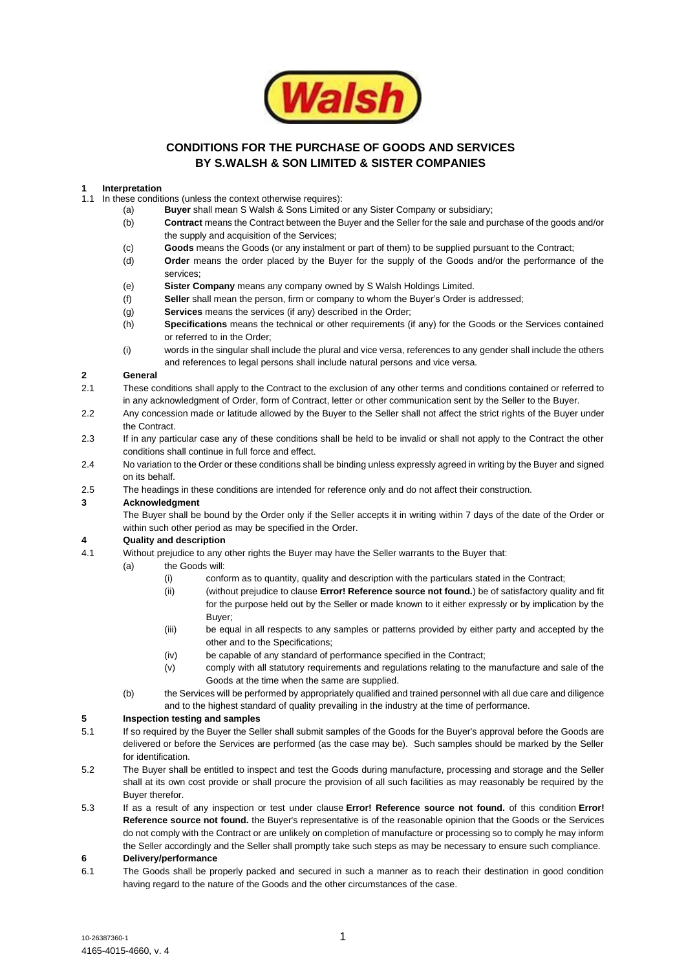

# **CONDITIONS FOR THE PURCHASE OF GOODS AND SERVICES BY S.WALSH & SON LIMITED & SISTER COMPANIES**

#### **1 Interpretation**

- 1.1 In these conditions (unless the context otherwise requires):
	- (a) **Buyer** shall mean S Walsh & Sons Limited or any Sister Company or subsidiary;
		- (b) **Contract** means the Contract between the Buyer and the Seller for the sale and purchase of the goods and/or the supply and acquisition of the Services;
		- (c) **Goods** means the Goods (or any instalment or part of them) to be supplied pursuant to the Contract;
		- (d) **Order** means the order placed by the Buyer for the supply of the Goods and/or the performance of the services;
		- (e) **Sister Company** means any company owned by S Walsh Holdings Limited.
		- (f) **Seller** shall mean the person, firm or company to whom the Buyer's Order is addressed;
		- (g) **Services** means the services (if any) described in the Order;
		- (h) **Specifications** means the technical or other requirements (if any) for the Goods or the Services contained or referred to in the Order;
		- (i) words in the singular shall include the plural and vice versa, references to any gender shall include the others and references to legal persons shall include natural persons and vice versa.

# **2 General**

- 2.1 These conditions shall apply to the Contract to the exclusion of any other terms and conditions contained or referred to in any acknowledgment of Order, form of Contract, letter or other communication sent by the Seller to the Buyer.
- 2.2 Any concession made or latitude allowed by the Buyer to the Seller shall not affect the strict rights of the Buyer under the Contract.
- 2.3 If in any particular case any of these conditions shall be held to be invalid or shall not apply to the Contract the other conditions shall continue in full force and effect.
- 2.4 No variation to the Order or these conditions shall be binding unless expressly agreed in writing by the Buyer and signed on its behalf.
- 2.5 The headings in these conditions are intended for reference only and do not affect their construction.

#### **3 Acknowledgment**

The Buyer shall be bound by the Order only if the Seller accepts it in writing within 7 days of the date of the Order or within such other period as may be specified in the Order.

#### **4 Quality and description**

- 4.1 Without prejudice to any other rights the Buyer may have the Seller warrants to the Buyer that:
	- (a) the Goods will:
		- (i) conform as to quantity, quality and description with the particulars stated in the Contract;
		- (ii) (without prejudice to clause **Error! Reference source not found.**) be of satisfactory quality and fit for the purpose held out by the Seller or made known to it either expressly or by implication by the Buyer;
		- (iii) be equal in all respects to any samples or patterns provided by either party and accepted by the other and to the Specifications;
		- (iv) be capable of any standard of performance specified in the Contract;
		- (v) comply with all statutory requirements and regulations relating to the manufacture and sale of the Goods at the time when the same are supplied.
	- (b) the Services will be performed by appropriately qualified and trained personnel with all due care and diligence and to the highest standard of quality prevailing in the industry at the time of performance.

# **5 Inspection testing and samples**

- 5.1 If so required by the Buyer the Seller shall submit samples of the Goods for the Buyer's approval before the Goods are delivered or before the Services are performed (as the case may be). Such samples should be marked by the Seller for identification.
- 5.2 The Buyer shall be entitled to inspect and test the Goods during manufacture, processing and storage and the Seller shall at its own cost provide or shall procure the provision of all such facilities as may reasonably be required by the Buyer therefor.
- 5.3 If as a result of any inspection or test under clause **Error! Reference source not found.** of this condition **Error! Reference source not found.** the Buyer's representative is of the reasonable opinion that the Goods or the Services do not comply with the Contract or are unlikely on completion of manufacture or processing so to comply he may inform the Seller accordingly and the Seller shall promptly take such steps as may be necessary to ensure such compliance.

#### **6 Delivery/performance**

6.1 The Goods shall be properly packed and secured in such a manner as to reach their destination in good condition having regard to the nature of the Goods and the other circumstances of the case.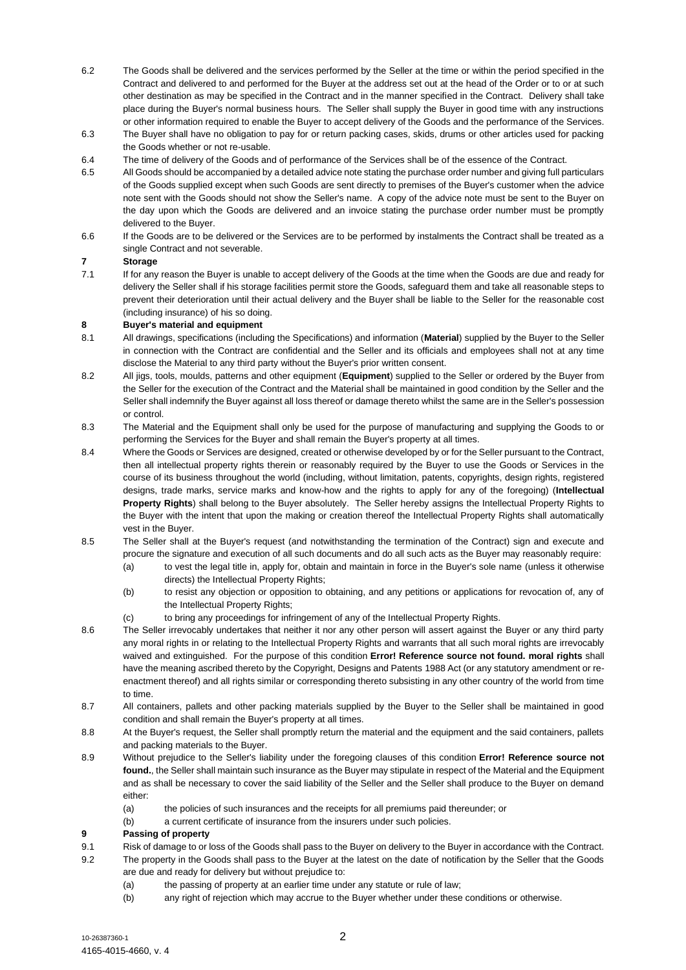- 6.2 The Goods shall be delivered and the services performed by the Seller at the time or within the period specified in the Contract and delivered to and performed for the Buyer at the address set out at the head of the Order or to or at such other destination as may be specified in the Contract and in the manner specified in the Contract. Delivery shall take place during the Buyer's normal business hours. The Seller shall supply the Buyer in good time with any instructions or other information required to enable the Buyer to accept delivery of the Goods and the performance of the Services.
- 6.3 The Buyer shall have no obligation to pay for or return packing cases, skids, drums or other articles used for packing the Goods whether or not re-usable.
- 6.4 The time of delivery of the Goods and of performance of the Services shall be of the essence of the Contract.
- 6.5 All Goods should be accompanied by a detailed advice note stating the purchase order number and giving full particulars of the Goods supplied except when such Goods are sent directly to premises of the Buyer's customer when the advice note sent with the Goods should not show the Seller's name. A copy of the advice note must be sent to the Buyer on the day upon which the Goods are delivered and an invoice stating the purchase order number must be promptly delivered to the Buyer.
- 6.6 If the Goods are to be delivered or the Services are to be performed by instalments the Contract shall be treated as a single Contract and not severable.

# **7 Storage**

7.1 If for any reason the Buyer is unable to accept delivery of the Goods at the time when the Goods are due and ready for delivery the Seller shall if his storage facilities permit store the Goods, safeguard them and take all reasonable steps to prevent their deterioration until their actual delivery and the Buyer shall be liable to the Seller for the reasonable cost (including insurance) of his so doing.

#### **8 Buyer's material and equipment**

- 8.1 All drawings, specifications (including the Specifications) and information (**Material**) supplied by the Buyer to the Seller in connection with the Contract are confidential and the Seller and its officials and employees shall not at any time disclose the Material to any third party without the Buyer's prior written consent.
- 8.2 All jigs, tools, moulds, patterns and other equipment (**Equipment**) supplied to the Seller or ordered by the Buyer from the Seller for the execution of the Contract and the Material shall be maintained in good condition by the Seller and the Seller shall indemnify the Buyer against all loss thereof or damage thereto whilst the same are in the Seller's possession or control.
- 8.3 The Material and the Equipment shall only be used for the purpose of manufacturing and supplying the Goods to or performing the Services for the Buyer and shall remain the Buyer's property at all times.
- 8.4 Where the Goods or Services are designed, created or otherwise developed by or for the Seller pursuant to the Contract, then all intellectual property rights therein or reasonably required by the Buyer to use the Goods or Services in the course of its business throughout the world (including, without limitation, patents, copyrights, design rights, registered designs, trade marks, service marks and know-how and the rights to apply for any of the foregoing) (**Intellectual Property Rights**) shall belong to the Buyer absolutely. The Seller hereby assigns the Intellectual Property Rights to the Buyer with the intent that upon the making or creation thereof the Intellectual Property Rights shall automatically vest in the Buyer.
- 8.5 The Seller shall at the Buyer's request (and notwithstanding the termination of the Contract) sign and execute and procure the signature and execution of all such documents and do all such acts as the Buyer may reasonably require:
	- (a) to vest the legal title in, apply for, obtain and maintain in force in the Buyer's sole name (unless it otherwise directs) the Intellectual Property Rights;
	- (b) to resist any objection or opposition to obtaining, and any petitions or applications for revocation of, any of the Intellectual Property Rights;
	- (c) to bring any proceedings for infringement of any of the Intellectual Property Rights.
- 8.6 The Seller irrevocably undertakes that neither it nor any other person will assert against the Buyer or any third party any moral rights in or relating to the Intellectual Property Rights and warrants that all such moral rights are irrevocably waived and extinguished. For the purpose of this condition **Error! Reference source not found. moral rights** shall have the meaning ascribed thereto by the Copyright, Designs and Patents 1988 Act (or any statutory amendment or reenactment thereof) and all rights similar or corresponding thereto subsisting in any other country of the world from time to time.
- 8.7 All containers, pallets and other packing materials supplied by the Buyer to the Seller shall be maintained in good condition and shall remain the Buyer's property at all times.
- 8.8 At the Buyer's request, the Seller shall promptly return the material and the equipment and the said containers, pallets and packing materials to the Buyer.
- 8.9 Without prejudice to the Seller's liability under the foregoing clauses of this condition **Error! Reference source not found.**, the Seller shall maintain such insurance as the Buyer may stipulate in respect of the Material and the Equipment and as shall be necessary to cover the said liability of the Seller and the Seller shall produce to the Buyer on demand either:
	- (a) the policies of such insurances and the receipts for all premiums paid thereunder; or
	- (b) a current certificate of insurance from the insurers under such policies.

#### **9 Passing of property**

- 9.1 Risk of damage to or loss of the Goods shall pass to the Buyer on delivery to the Buyer in accordance with the Contract.
- 9.2 The property in the Goods shall pass to the Buyer at the latest on the date of notification by the Seller that the Goods are due and ready for delivery but without prejudice to:
	- (a) the passing of property at an earlier time under any statute or rule of law;
		- (b) any right of rejection which may accrue to the Buyer whether under these conditions or otherwise.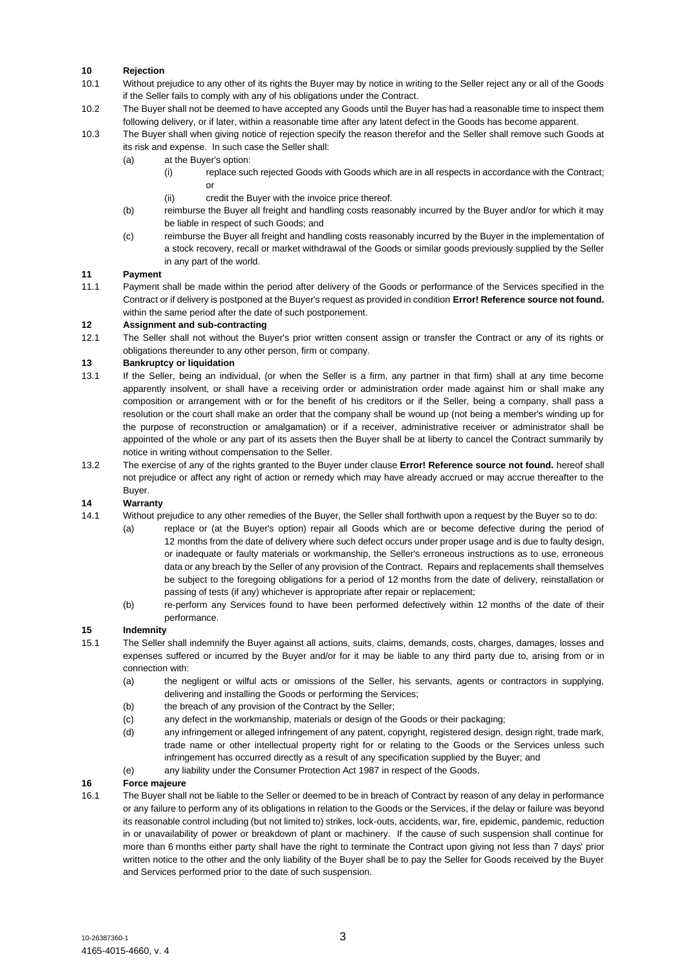# **10 Rejection**

- 10.1 Without prejudice to any other of its rights the Buyer may by notice in writing to the Seller reject any or all of the Goods if the Seller fails to comply with any of his obligations under the Contract.
- 10.2 The Buyer shall not be deemed to have accepted any Goods until the Buyer has had a reasonable time to inspect them following delivery, or if later, within a reasonable time after any latent defect in the Goods has become apparent.
- 10.3 The Buyer shall when giving notice of rejection specify the reason therefor and the Seller shall remove such Goods at its risk and expense. In such case the Seller shall:
	- (a) at the Buyer's option:
		- (i) replace such rejected Goods with Goods which are in all respects in accordance with the Contract; or
			- (ii) credit the Buyer with the invoice price thereof.
	- (b) reimburse the Buyer all freight and handling costs reasonably incurred by the Buyer and/or for which it may be liable in respect of such Goods; and
	- (c) reimburse the Buyer all freight and handling costs reasonably incurred by the Buyer in the implementation of a stock recovery, recall or market withdrawal of the Goods or similar goods previously supplied by the Seller in any part of the world.

#### **11 Payment**

11.1 Payment shall be made within the period after delivery of the Goods or performance of the Services specified in the Contract or if delivery is postponed at the Buyer's request as provided in condition **Error! Reference source not found.** within the same period after the date of such postponement.

# **12 Assignment and sub-contracting**

12.1 The Seller shall not without the Buyer's prior written consent assign or transfer the Contract or any of its rights or obligations thereunder to any other person, firm or company.

# **13 Bankruptcy or liquidation**

- 13.1 If the Seller, being an individual, (or when the Seller is a firm, any partner in that firm) shall at any time become apparently insolvent, or shall have a receiving order or administration order made against him or shall make any composition or arrangement with or for the benefit of his creditors or if the Seller, being a company, shall pass a resolution or the court shall make an order that the company shall be wound up (not being a member's winding up for the purpose of reconstruction or amalgamation) or if a receiver, administrative receiver or administrator shall be appointed of the whole or any part of its assets then the Buyer shall be at liberty to cancel the Contract summarily by notice in writing without compensation to the Seller.
- 13.2 The exercise of any of the rights granted to the Buyer under clause **Error! Reference source not found.** hereof shall not prejudice or affect any right of action or remedy which may have already accrued or may accrue thereafter to the Buyer.

# **14 Warranty**

- 14.1 Without prejudice to any other remedies of the Buyer, the Seller shall forthwith upon a request by the Buyer so to do:
	- (a) replace or (at the Buyer's option) repair all Goods which are or become defective during the period of 12 months from the date of delivery where such defect occurs under proper usage and is due to faulty design, or inadequate or faulty materials or workmanship, the Seller's erroneous instructions as to use, erroneous data or any breach by the Seller of any provision of the Contract. Repairs and replacements shall themselves be subject to the foregoing obligations for a period of 12 months from the date of delivery, reinstallation or passing of tests (if any) whichever is appropriate after repair or replacement;
	- (b) re-perform any Services found to have been performed defectively within 12 months of the date of their performance.

#### **15 Indemnity**

- 15.1 The Seller shall indemnify the Buyer against all actions, suits, claims, demands, costs, charges, damages, losses and expenses suffered or incurred by the Buyer and/or for it may be liable to any third party due to, arising from or in connection with:
	- (a) the negligent or wilful acts or omissions of the Seller, his servants, agents or contractors in supplying, delivering and installing the Goods or performing the Services;
	- (b) the breach of any provision of the Contract by the Seller;
	- (c) any defect in the workmanship, materials or design of the Goods or their packaging;
	- (d) any infringement or alleged infringement of any patent, copyright, registered design, design right, trade mark, trade name or other intellectual property right for or relating to the Goods or the Services unless such infringement has occurred directly as a result of any specification supplied by the Buyer; and
	- (e) any liability under the Consumer Protection Act 1987 in respect of the Goods.

#### **16 Force majeure**

16.1 The Buyer shall not be liable to the Seller or deemed to be in breach of Contract by reason of any delay in performance or any failure to perform any of its obligations in relation to the Goods or the Services, if the delay or failure was beyond its reasonable control including (but not limited to) strikes, lock-outs, accidents, war, fire, epidemic, pandemic, reduction in or unavailability of power or breakdown of plant or machinery. If the cause of such suspension shall continue for more than 6 months either party shall have the right to terminate the Contract upon giving not less than 7 days' prior written notice to the other and the only liability of the Buyer shall be to pay the Seller for Goods received by the Buyer and Services performed prior to the date of such suspension.